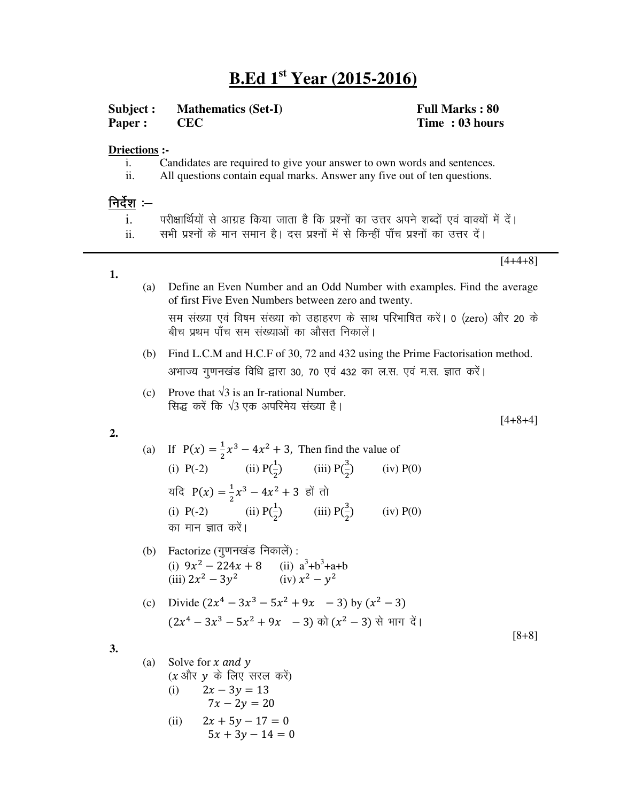# **B.Ed 1 st Year (2015-2016)**

**Subject : Mathematics (Set-I) Full Marks : 80**

**Paper : CEC Time : 03 hours**

## **Driections :-**

- i. Candidates are required to give your answer to own words and sentences.
- ii. All questions contain equal marks. Answer any five out of ten questions.

## <u>निर्देश</u> :–

**1.**

- i. परीक्षार्थियों से आग्रह किया जाता है कि प्रश्नों का उत्तर अपने शब्दों एवं वाक्यों में दें।
- ii. सभी प्रश्नों के मान समान है। दस प्रश्नों में से किन्हीं पाँच प्रश्नों का उत्तर दें।

[4+4+8]

(a) Define an Even Number and an Odd Number with examples. Find the average of first Five Even Numbers between zero and twenty.

सम संख्या एवं विषम संख्या को उहाहरण के साथ परिभाषित करें। 0 (zero) और 20 के बीच प्रथम पाँच सम संख्याओं का औसत निकालें।

- (b) Find L.C.M and H.C.F of 30, 72 and 432 using the Prime Factorisation method. अभाज्य गुणनखंड विधि द्वारा ३०, ७० एवं ४३२ का ल.स. एवं म.स. ज्ञात करें।
- (c) Prove that  $\sqrt{3}$  is an Ir-rational Number. सिद्ध करें कि  $\sqrt{3}$  एक अपरिमेय संख्या है।

[4+8+4]

**2.**

(a) If  $P(x) = \frac{1}{2}$  $\frac{1}{2}x^3 - 4x^2 + 3$ , Then find the value of (i) P(-2) (ii) P( $\frac{1}{2}$ ) (iii) P( $\frac{3}{2}$ )  $\overline{\mathbf{c}}$  $\overline{\mathbf{c}}$  $(iv) P(0)$ यदि P(x) =  $\frac{1}{2}$  $\frac{1}{2}x^3 - 4x^2 + 3$  हों तो (i) P(-2) (ii)  $P(\frac{1}{2})$  $\frac{1}{2}$ ) (iii) P( $\frac{3}{2}$ )  $2^{\cdot}$  $(iv) P(0)$ का मान ज्ञात करें।

(b) Factorize (गुणनखंड निकालें): (i)  $9x^2 - 224x + 8$  (ii)  $a^3 + b^3 + a + b$ (iii)  $2x^2 - 3y^2$  (iv)  $x^2 - y^2$ 

(c) Divide 
$$
(2x^4 - 3x^3 - 5x^2 + 9x - 3)
$$
 by  $(x^2 - 3)$   
 $(2x^4 - 3x^3 - 5x^2 + 9x - 3)$  or  $(x^2 - 3)$  or  $(x^2 + 3)$ 

[8+8]

$$
3.
$$

(a) Solve for *x* and *y*  
\n(*x* 
$$
\sqrt{317}
$$
 *y*  $\vec{\phi}$   $\vec{\phi}$   $\vec{\phi}$   $\vec{\phi}$   
\n(i)  $2x - 3y = 13$   
\n $7x - 2y = 20$   
\n(ii)  $2x + 5y - 17 = 0$   
\n $5x + 3y - 14 = 0$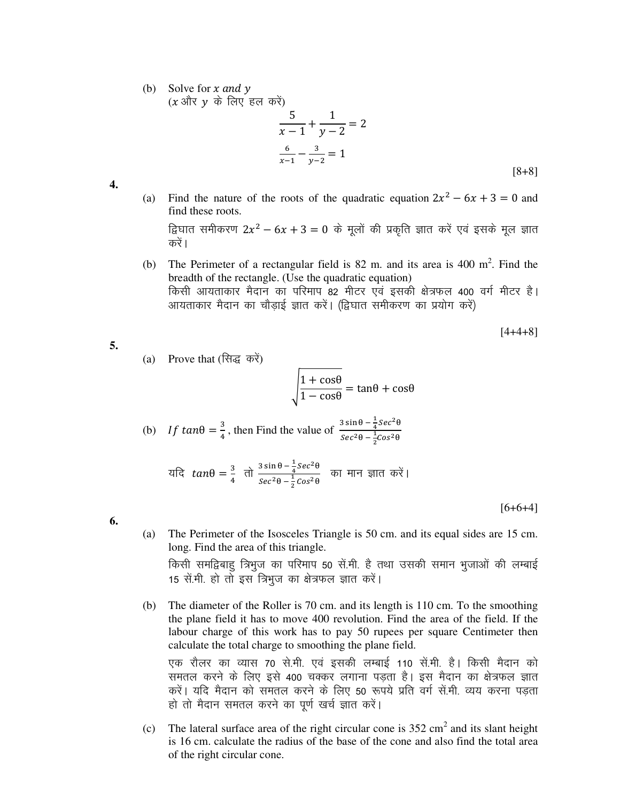(b) Solve for  $x$  and  $y$ 

 $(x \nightharpoonup y \nightharpoonup \vec{r}$  लिए हल करें)

$$
\frac{5}{x-1} + \frac{1}{y-2} = 2
$$
  

$$
\frac{6}{x-1} - \frac{3}{y-2} = 1
$$
 [8+8]

**4.**

**5.**

(a) Find the nature of the roots of the quadratic equation  $2x^2 - 6x + 3 = 0$  and find these roots.

द्विघात समीकरण 2 $x^2-6x+3=0$  के मूलों की प्रकृति ज्ञात करें एवं इसके मूल ज्ञात करें ।

(b) The Perimeter of a rectangular field is  $82$  m. and its area is  $400 \text{ m}^2$ . Find the breadth of the rectangle. (Use the quadratic equation) किसी आयताकार मैदान का परिमाप 82 मीटर एवं इसकी क्षेत्रफल 400 वर्ग मीटर है। आयताकार मैदान का चौड़ाई ज्ञात करें। (द्विघात समीकरण का प्रयोग करें)

$$
[4+4+8]
$$

(a) Prove that (सिद्ध करें)

$$
\sqrt{\frac{1+\cos\theta}{1-\cos\theta}} = \tan\theta + \cos\theta
$$

(b) If 
$$
\tan\theta = \frac{3}{4}
$$
, then Find the value of  $\frac{3\sin\theta - \frac{1}{4}\sec^2\theta}{\sec^2\theta - \frac{1}{2}\cos^2\theta}$ 

यदि 
$$
tan\theta = \frac{3}{4} \text{ at } \frac{3\sin\theta - \frac{1}{4}sec^2\theta}{sec^2\theta - \frac{1}{2}cos^2\theta}
$$
 an HIT siict a $\lambda$ 

[6+6+4]

**6.**

(a) The Perimeter of the Isosceles Triangle is 50 cm. and its equal sides are 15 cm. long. Find the area of this triangle.

किसी समद्विबाहु त्रिभुज का परिमाप 50 सें.मी. है तथा उसकी समान भुजाओं की लम्बाई 15 सें.मी. हो तो इस त्रिभुज का क्षेत्रफल ज्ञात करें।

(b) The diameter of the Roller is 70 cm. and its length is 110 cm. To the smoothing the plane field it has to move 400 revolution. Find the area of the field. If the labour charge of this work has to pay 50 rupees per square Centimeter then calculate the total charge to smoothing the plane field.

एक रौलर का व्यास 70 से.मी. एवं इसकी लम्बाई 110 सें.मी. है। किसी मैदान को समतल करने के लिए इसे 400 चक्कर लगाना पड़ता है। इस मैदान का क्षेत्रफल ज्ञात करें। यदि मैदान को समतल करने के लिए 50 रूपये प्रति वर्ग सें.मी. व्यय करना पड़ता हो तो मैदान समतल करने का पूर्ण खर्च ज्ञात करें।

(c) The lateral surface area of the right circular cone is  $352 \text{ cm}^2$  and its slant height is 16 cm. calculate the radius of the base of the cone and also find the total area of the right circular cone.